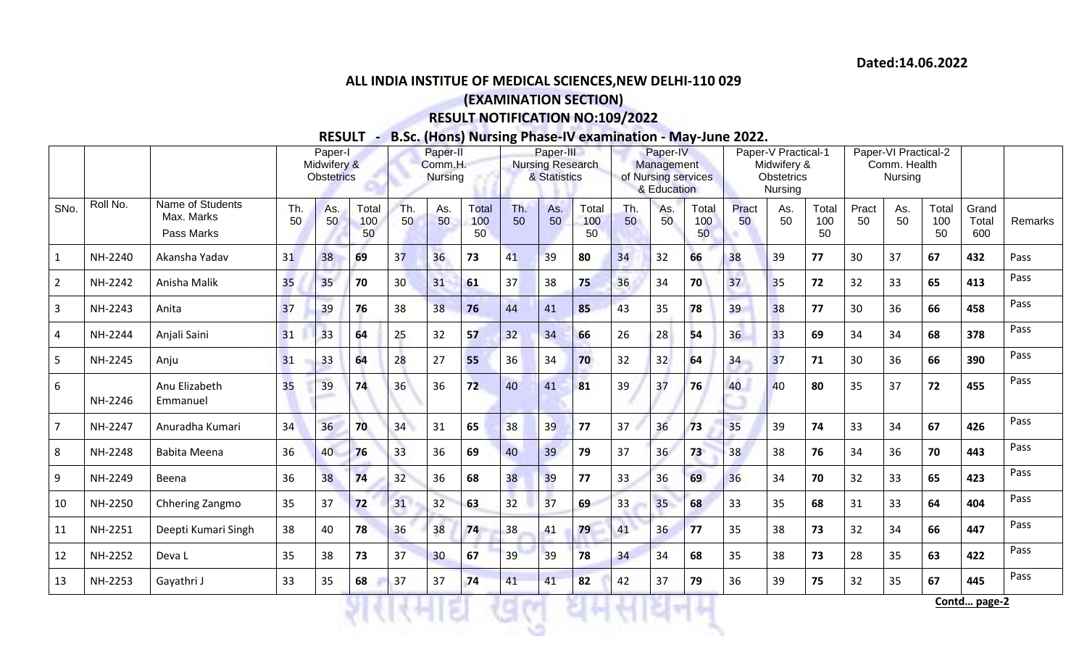## **ALL INDIA INSTITUE OF MEDICAL SCIENCES,NEW DELHI-110 029**

## **(EXAMINATION SECTION)**

## **RESULT NOTIFICATION NO:109/2022**

**RESULT - B.Sc. (Hons) Nursing Phase-IV examination - May-June 2022.**

|                |          |                                              | Paper-I<br>Midwifery &<br><b>Obstetrics</b> |           |                    | Paper-II<br>Comm.H.<br><b>Nursing</b> |           |                    | Paper-III<br>Nursing Research<br>& Statistics |           |                    | Paper-IV<br>Management<br>of Nursing services |             |                    | Paper-V Practical-1<br>Midwifery &<br>Obstetrics |           |                    | Paper-VI Practical-2<br>Comm. Health<br>Nursing |           |                    |                       |         |
|----------------|----------|----------------------------------------------|---------------------------------------------|-----------|--------------------|---------------------------------------|-----------|--------------------|-----------------------------------------------|-----------|--------------------|-----------------------------------------------|-------------|--------------------|--------------------------------------------------|-----------|--------------------|-------------------------------------------------|-----------|--------------------|-----------------------|---------|
|                |          |                                              |                                             |           |                    |                                       |           |                    |                                               |           |                    |                                               | & Education |                    |                                                  | Nursing   |                    |                                                 |           |                    |                       |         |
| SNo.           | Roll No. | Name of Students<br>Max. Marks<br>Pass Marks | Th.<br>50                                   | As.<br>50 | Total<br>100<br>50 | Th.<br>50                             | As.<br>50 | Total<br>100<br>50 | Th.<br>50                                     | As.<br>50 | Total<br>100<br>50 | Th.<br>50                                     | As.<br>50   | Total<br>100<br>50 | Pract<br>50                                      | As.<br>50 | Total<br>100<br>50 | Pract<br>50                                     | As.<br>50 | Total<br>100<br>50 | Grand<br>Total<br>600 | Remarks |
| $\mathbf{1}$   | NH-2240  | Akansha Yadav                                | 31                                          | 38        | 69                 | 37                                    | 36        | 73                 | 41                                            | 39        | 80                 | 34                                            | 32          | 66                 | 38                                               | 39        | 77                 | 30                                              | 37        | 67                 | 432                   | Pass    |
| $\overline{2}$ | NH-2242  | Anisha Malik                                 | 35                                          | 35        | 70                 | 30 <sup>°</sup>                       | 31        | 61                 | 37                                            | 38        | 75                 | 36                                            | 34          | 70                 | 37                                               | 35        | 72                 | 32                                              | 33        | 65                 | 413                   | Pass    |
| $\overline{3}$ | NH-2243  | Anita                                        | 37                                          | 39        | 76                 | 38                                    | 38        | 76                 | 44                                            | 41        | 85                 | 43                                            | 35          | 78                 | 39                                               | 38        | 77                 | 30                                              | 36        | 66                 | 458                   | Pass    |
| 4              | NH-2244  | Anjali Saini                                 | 31                                          | 33        | 64                 | 25                                    | 32        | 57                 | 32                                            | 34        | 66                 | 26                                            | 28          | 54                 | 36                                               | 33        | 69                 | 34                                              | 34        | 68                 | 378                   | Pass    |
| 5              | NH-2245  | Anju                                         | 31                                          | 33        | 64                 | 28                                    | 27        | 55                 | 36                                            | 34        | 70                 | 32                                            | 32          | 64                 | 34                                               | 37        | 71                 | 30                                              | 36        | 66                 | 390                   | Pass    |
| 6              | NH-2246  | Anu Elizabeth<br>Emmanuel                    | 35                                          | 39        | 74                 | 36                                    | 36        | 72                 | 40                                            | 41        | 81                 | 39                                            | 37          | 76                 | 40                                               | 40        | 80                 | 35                                              | 37        | 72                 | 455                   | Pass    |
| $\overline{7}$ | NH-2247  | Anuradha Kumari                              | 34                                          | 36        | 70                 | 34                                    | 31        | 65                 | 38                                            | 39        | 77                 | 37                                            | 36          | 73                 | 35                                               | 39        | 74                 | 33                                              | 34        | 67                 | 426                   | Pass    |
| 8              | NH-2248  | Babita Meena                                 | 36                                          | 40        | 76                 | 33                                    | 36        | 69                 | 40                                            | 39        | 79                 | 37                                            | 36          | 73                 | 38                                               | 38        | 76                 | 34                                              | 36        | 70                 | 443                   | Pass    |
| 9              | NH-2249  | Beena                                        | 36                                          | 38        | 74                 | 32                                    | 36        | 68                 | 38                                            | 39        | 77                 | 33                                            | 36          | 69                 | 36                                               | 34        | 70                 | 32                                              | 33        | 65                 | 423                   | Pass    |
| 10             | NH-2250  | Chhering Zangmo                              | 35                                          | 37        | 72                 | 31                                    | 32        | 63                 | 32                                            | 37        | 69                 | 33                                            | 35          | 68                 | 33                                               | 35        | 68                 | 31                                              | 33        | 64                 | 404                   | Pass    |
| 11             | NH-2251  | Deepti Kumari Singh                          | 38                                          | 40        | 78                 | 36                                    | 38        | 74                 | 38                                            | 41        | 79                 | 41                                            | 36          | 77                 | 35                                               | 38        | 73                 | 32                                              | 34        | 66                 | 447                   | Pass    |
| 12             | NH-2252  | Deva L                                       | 35                                          | 38        | 73                 | 37                                    | 30        | 67                 | 39                                            | 39        | 78                 | 34                                            | 34          | 68                 | 35                                               | 38        | 73                 | 28                                              | 35        | 63                 | 422                   | Pass    |
| 13             | NH-2253  | Gayathri J                                   | 33                                          | 35        | 68                 | 37                                    | 37        | 74                 | 41                                            | 41        | 82                 | 42                                            | 37          | 79                 | 36                                               | 39        | 75                 | 32                                              | 35        | 67                 | 445                   | Pass    |
|                |          |                                              |                                             |           |                    |                                       |           |                    |                                               |           |                    |                                               |             |                    |                                                  |           |                    |                                                 |           |                    | Contd page-2          |         |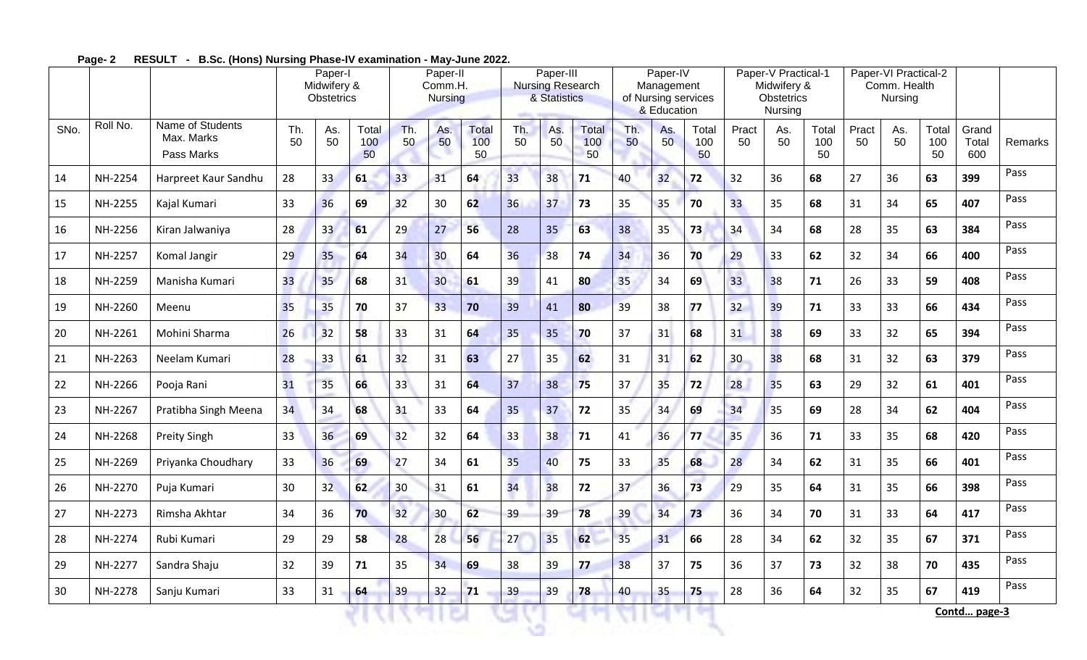|      |          |                                              | Paper-I<br>Midwifery &<br>Obstetrics |           |                    | Paper-II<br>Comm.H.<br><b>Nursing</b> |           |                    | Paper-III<br><b>Nursing Research</b><br>& Statistics |           |                           | Paper-IV<br>Management<br>of Nursing services<br>& Education |           |                    | Paper-V Practical-1<br>Midwifery &<br>Obstetrics<br>Nursing |           |                    | Paper-VI Practical-2<br>Comm. Health<br>Nursing |           |                    |                       |         |
|------|----------|----------------------------------------------|--------------------------------------|-----------|--------------------|---------------------------------------|-----------|--------------------|------------------------------------------------------|-----------|---------------------------|--------------------------------------------------------------|-----------|--------------------|-------------------------------------------------------------|-----------|--------------------|-------------------------------------------------|-----------|--------------------|-----------------------|---------|
| SNo. | Roll No. | Name of Students<br>Max. Marks<br>Pass Marks | Th.<br>50                            | As.<br>50 | Total<br>100<br>50 | Th.<br>50                             | As.<br>50 | Total<br>100<br>50 | Th.<br>50                                            | As.<br>50 | <b>Total</b><br>100<br>50 | Th.<br>50                                                    | As.<br>50 | Total<br>100<br>50 | Pract<br>50                                                 | As.<br>50 | Total<br>100<br>50 | Pract<br>50                                     | As.<br>50 | Total<br>100<br>50 | Grand<br>Total<br>600 | Remarks |
| 14   | NH-2254  | Harpreet Kaur Sandhu                         | 28                                   | 33        | 61                 | 33                                    | 31        | 64                 | 33                                                   | 38        | 71                        | 40                                                           | 32        | 72                 | 32                                                          | 36        | 68                 | 27                                              | 36        | 63                 | 399                   | Pass    |
| 15   | NH-2255  | Kajal Kumari                                 | 33                                   | 36        | 69                 | 32                                    | 30        | 62                 | 36                                                   | 37        | 73                        | 35                                                           | 35        | 70                 | 33                                                          | 35        | 68                 | 31                                              | 34        | 65                 | 407                   | Pass    |
| 16   | NH-2256  | Kiran Jalwaniya                              | 28                                   | 33        | 61                 | 29                                    | 27        | 56                 | 28                                                   | 35        | 63                        | 38                                                           | 35        | 73                 | 34                                                          | 34        | 68                 | 28                                              | 35        | 63                 | 384                   | Pass    |
| 17   | NH-2257  | Komal Jangir                                 | 29                                   | 35        | 64                 | 34                                    | 30        | 64                 | 36                                                   | 38        | 74                        | 34                                                           | 36        | 70                 | 29                                                          | 33        | 62                 | 32                                              | 34        | 66                 | 400                   | Pass    |
| 18   | NH-2259  | Manisha Kumari                               | 33                                   | 35        | 68                 | 31                                    | 30        | 61                 | 39                                                   | 41        | 80                        | 35                                                           | 34        | 69                 | 33                                                          | 38        | 71                 | 26                                              | 33        | 59                 | 408                   | Pass    |
| 19   | NH-2260  | Meenu                                        | 35                                   | 35        | 70                 | 37                                    | 33        | 70                 | 39                                                   | 41        | 80                        | 39                                                           | 38        | 77                 | 32                                                          | 39        | 71                 | 33                                              | 33        | 66                 | 434                   | Pass    |
| 20   | NH-2261  | Mohini Sharma                                | 26                                   | 32        | 58                 | 33                                    | 31        | 64                 | 35                                                   | 35        | 70                        | 37                                                           | 31        | 68                 | 31                                                          | 38        | 69                 | 33                                              | 32        | 65                 | 394                   | Pass    |
| 21   | NH-2263  | Neelam Kumari                                | 28                                   | 33        | 61                 | 32                                    | 31        | 63                 | 27                                                   | 35        | 62                        | 31                                                           | 31        | 62                 | 30                                                          | 38        | 68                 | 31                                              | 32        | 63                 | 379                   | Pass    |
| 22   | NH-2266  | Pooja Rani                                   | 31                                   | 35        | 66                 | 33                                    | 31        | 64                 | 37                                                   | 38        | 75                        | 37                                                           | 35        | 72                 | 28                                                          | 35        | 63                 | 29                                              | 32        | 61                 | 401                   | Pass    |
| 23   | NH-2267  | Pratibha Singh Meena                         | 34                                   | 34        | 68                 | 31                                    | 33        | 64                 | 35                                                   | 37        | 72                        | 35                                                           | 34        | 69                 | 34                                                          | 35        | 69                 | 28                                              | 34        | 62                 | 404                   | Pass    |
| 24   | NH-2268  | <b>Preity Singh</b>                          | 33 <sup>2</sup>                      | 36        | 69                 | 32                                    | 32        | 64                 | 33                                                   | 38        | 71                        | 41                                                           | 36        | 77                 | 35                                                          | 36        | 71                 | 33                                              | 35        | 68                 | 420                   | Pass    |
| 25   | NH-2269  | Priyanka Choudhary                           | 33                                   | 36        | 69                 | 27                                    | 34        | 61                 | 35                                                   | 40        | 75                        | 33                                                           | 35        | 68                 | 28                                                          | 34        | 62                 | 31                                              | 35        | 66                 | 401                   | Pass    |
| 26   | NH-2270  | Puja Kumari                                  | 30                                   | 32        | 62                 | 30                                    | 31        | 61                 | 34                                                   | 38        | 72                        | 37                                                           | 36        | 73                 | 29                                                          | 35        | 64                 | 31                                              | 35        | 66                 | 398                   | Pass    |
| 27   | NH-2273  | Rimsha Akhtar                                | 34                                   | 36        | 70                 | 32                                    | 30        | 62                 | 39                                                   | 39        | 78                        | 39                                                           | 34        | 73                 | 36                                                          | 34        | 70                 | 31                                              | 33        | 64                 | 417                   | Pass    |
| 28   | NH-2274  | Rubi Kumari                                  | 29                                   | 29        | 58                 | 28                                    | 28        | 56                 | 27                                                   | 35        | 62                        | 35                                                           | 31        | 66                 | 28                                                          | 34        | 62                 | 32                                              | 35        | 67                 | 371                   | Pass    |
| 29   | NH-2277  | Sandra Shaju                                 | 32                                   | 39        | 71                 | 35                                    | 34        | 69                 | 38                                                   | 39        | 77                        | 38                                                           | 37        | 75                 | 36                                                          | 37        | 73                 | 32                                              | 38        | 70                 | 435                   | Pass    |
| 30   | NH-2278  | Sanju Kumari                                 | 33                                   | 31        | 64                 | 39                                    | 32        | 71                 | 39                                                   | 39        | 78                        | 40                                                           | 35        | 75                 | 28                                                          | 36        | 64                 | 32                                              | 35        | 67                 | 419                   | Pass    |

**Page- 2 RESULT - B.Sc. (Hons) Nursing Phase-IV examination - May-June 2022.**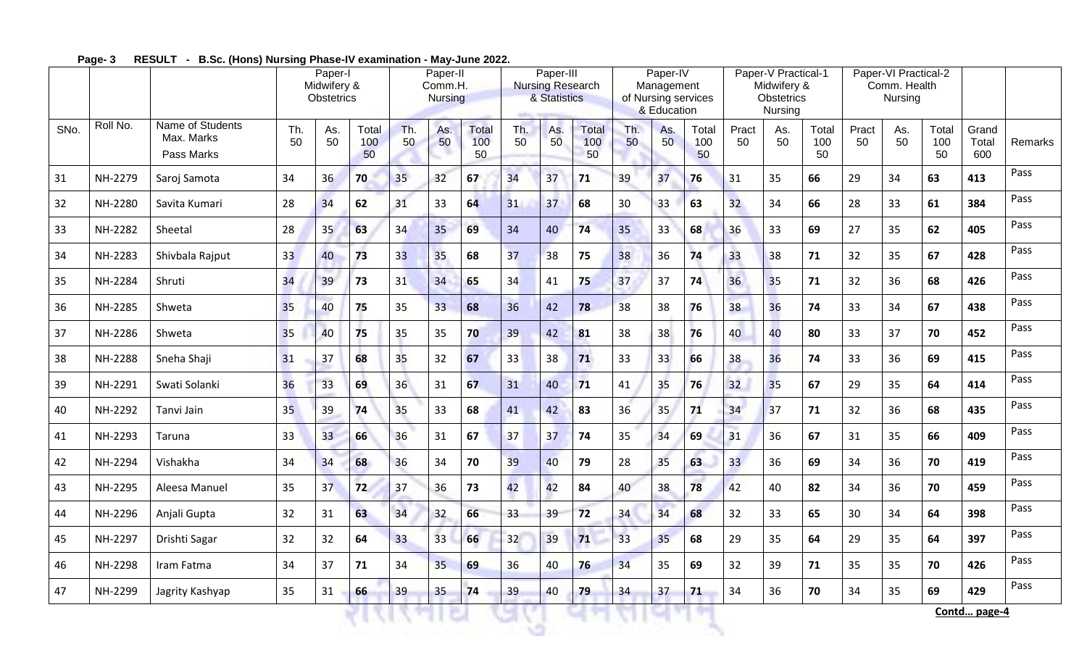|      |          |                                              | Paper-I<br>Midwifery &<br>Obstetrics |           |                    | Paper-II<br>Comm.H.<br><b>Nursing</b> |           |                    | Paper-III<br><b>Nursing Research</b><br>& Statistics |           |                           | Paper-IV<br>Management<br>of Nursing services<br>& Education |           |                    | Paper-V Practical-1<br>Midwifery &<br>Obstetrics<br>Nursing |           |                    | Paper-VI Practical-2<br>Comm. Health<br>Nursing |           |                    |                       |         |
|------|----------|----------------------------------------------|--------------------------------------|-----------|--------------------|---------------------------------------|-----------|--------------------|------------------------------------------------------|-----------|---------------------------|--------------------------------------------------------------|-----------|--------------------|-------------------------------------------------------------|-----------|--------------------|-------------------------------------------------|-----------|--------------------|-----------------------|---------|
| SNo. | Roll No. | Name of Students<br>Max. Marks<br>Pass Marks | Th.<br>50                            | As.<br>50 | Total<br>100<br>50 | Th.<br>50                             | As.<br>50 | Total<br>100<br>50 | Th.<br>50                                            | As.<br>50 | <b>Total</b><br>100<br>50 | Th.<br>50                                                    | As.<br>50 | Total<br>100<br>50 | Pract<br>50                                                 | As.<br>50 | Total<br>100<br>50 | Pract<br>50                                     | As.<br>50 | Total<br>100<br>50 | Grand<br>Total<br>600 | Remarks |
| 31   | NH-2279  | Saroj Samota                                 | 34                                   | 36        | 70                 | 35 <sub>2</sub>                       | 32        | 67                 | 34                                                   | 37        | 71                        | 39                                                           | 37        | 76                 | 31                                                          | 35        | 66                 | 29                                              | 34        | 63                 | 413                   | Pass    |
| 32   | NH-2280  | Savita Kumari                                | 28                                   | 34        | 62                 | 31                                    | 33        | 64                 | 31                                                   | 37        | 68                        | 30                                                           | 33        | 63                 | 32                                                          | 34        | 66                 | 28                                              | 33        | 61                 | 384                   | Pass    |
| 33   | NH-2282  | Sheetal                                      | 28                                   | 35        | 63                 | 34                                    | 35        | 69                 | 34                                                   | 40        | 74                        | 35                                                           | 33        | 68                 | 36                                                          | 33        | 69                 | 27                                              | 35        | 62                 | 405                   | Pass    |
| 34   | NH-2283  | Shivbala Rajput                              | 33                                   | 40        | 73                 | 33                                    | 35        | 68                 | 37                                                   | 38        | 75                        | 38                                                           | 36        | 74                 | 33                                                          | 38        | 71                 | 32                                              | 35        | 67                 | 428                   | Pass    |
| 35   | NH-2284  | Shruti                                       | 34                                   | 39        | 73                 | 31                                    | 34        | 65                 | 34                                                   | 41        | 75                        | 37                                                           | 37        | 74                 | 36                                                          | 35        | 71                 | 32                                              | 36        | 68                 | 426                   | Pass    |
| 36   | NH-2285  | Shweta                                       | 35                                   | 40        | 75                 | 35                                    | 33        | 68                 | 36                                                   | 42        | 78                        | 38                                                           | 38        | 76                 | 38                                                          | 36        | 74                 | 33                                              | 34        | 67                 | 438                   | Pass    |
| 37   | NH-2286  | Shweta                                       | 35                                   | 40        | 75                 | 35                                    | 35        | 70                 | 39                                                   | 42        | 81                        | 38                                                           | 38        | 76                 | 40                                                          | 40        | 80                 | 33                                              | 37        | 70                 | 452                   | Pass    |
| 38   | NH-2288  | Sneha Shaji                                  | 31                                   | 37        | 68                 | 35                                    | 32        | 67                 | 33                                                   | 38        | 71                        | 33                                                           | 33        | 66                 | 38                                                          | 36        | 74                 | 33                                              | 36        | 69                 | 415                   | Pass    |
| 39   | NH-2291  | Swati Solanki                                | 36                                   | 33        | 69                 | 36                                    | 31        | 67                 | 31                                                   | 40        | 71                        | 41                                                           | 35        | 76                 | 32                                                          | 35        | 67                 | 29                                              | 35        | 64                 | 414                   | Pass    |
| 40   | NH-2292  | Tanvi Jain                                   | 35                                   | 39        | 74                 | 35                                    | 33        | 68                 | 41                                                   | 42        | 83                        | 36                                                           | 35        | 71                 | 34                                                          | 37        | 71                 | 32                                              | 36        | 68                 | 435                   | Pass    |
| 41   | NH-2293  | Taruna                                       | 33                                   | 33        | 66                 | 36                                    | 31        | 67                 | 37                                                   | 37        | 74                        | 35                                                           | 34        | 69                 | 31                                                          | 36        | 67                 | 31                                              | 35        | 66                 | 409                   | Pass    |
| 42   | NH-2294  | Vishakha                                     | 34                                   | 34        | 68                 | 36                                    | 34        | 70                 | 39                                                   | 40        | 79                        | 28                                                           | 35        | 63                 | 33                                                          | 36        | 69                 | 34                                              | 36        | 70                 | 419                   | Pass    |
| 43   | NH-2295  | Aleesa Manuel                                | 35                                   | 37        | 72                 | 37                                    | 36        | 73                 | 42                                                   | 42        | 84                        | 40                                                           | 38        | 78                 | 42                                                          | 40        | 82                 | 34                                              | 36        | 70                 | 459                   | Pass    |
| 44   | NH-2296  | Anjali Gupta                                 | 32                                   | 31        | 63                 | 34                                    | 32        | 66                 | 33                                                   | 39        | 72                        | 34                                                           | 34        | 68                 | 32                                                          | 33        | 65                 | 30                                              | 34        | 64                 | 398                   | Pass    |
| 45   | NH-2297  | Drishti Sagar                                | 32                                   | 32        | 64                 | 33                                    | 33        | 66                 | 32                                                   | 39        | $71$                      | 33                                                           | 35        | 68                 | 29                                                          | 35        | 64                 | 29                                              | 35        | 64                 | 397                   | Pass    |
| 46   | NH-2298  | Iram Fatma                                   | 34                                   | 37        | 71                 | 34                                    | 35        | 69                 | 36                                                   | 40        | 76                        | 34                                                           | 35        | 69                 | 32                                                          | 39        | 71                 | 35                                              | 35        | 70                 | 426                   | Pass    |
| 47   | NH-2299  | Jagrity Kashyap                              | 35                                   | 31        | 66                 | 39                                    | 35        | 74                 | 39                                                   | 40        | 79                        | 34                                                           | 37        | 71                 | 34                                                          | 36        | 70                 | 34                                              | 35        | 69                 | 429                   | Pass    |

**Page- 3 RESULT - B.Sc. (Hons) Nursing Phase-IV examination - May-June 2022.**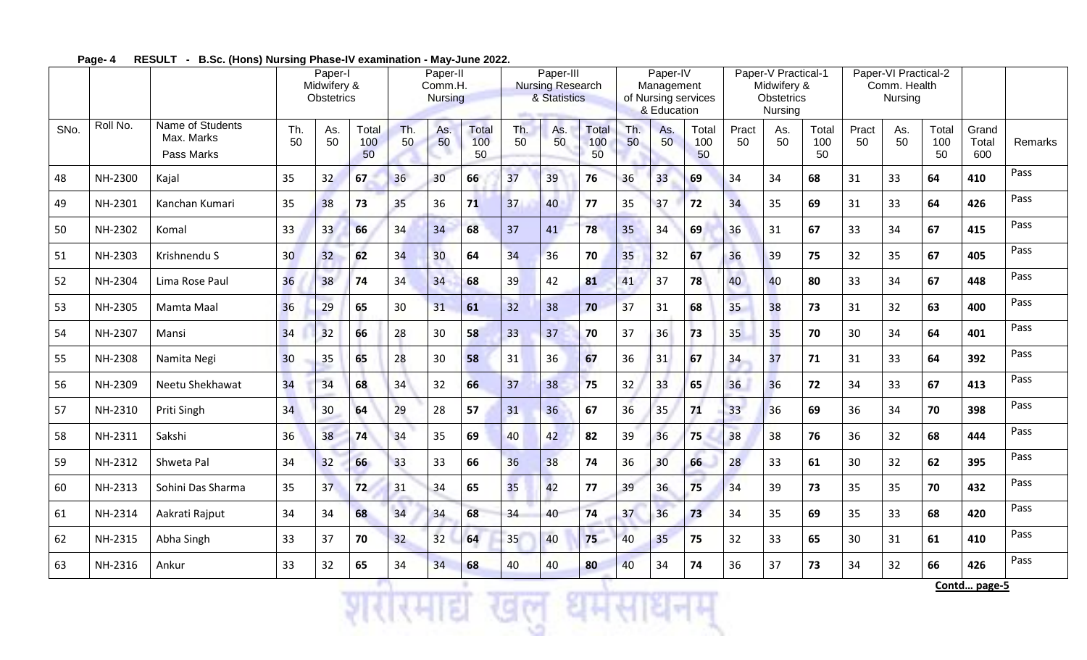|      |          |                                              | Paper-I<br>Midwifery &<br>Obstetrics |           |                    | Paper-II<br>Comm.H.<br><b>Nursing</b> |                 |                    | Paper-III<br><b>Nursing Research</b><br>& Statistics |           |                           | Paper-IV<br>Management<br>of Nursing services<br>& Education |                 |                    | Paper-V Practical-1<br>Midwifery &<br>Obstetrics<br>Nursing |           |                    | Paper-VI Practical-2<br>Comm. Health<br>Nursing |           |                    |                       |         |
|------|----------|----------------------------------------------|--------------------------------------|-----------|--------------------|---------------------------------------|-----------------|--------------------|------------------------------------------------------|-----------|---------------------------|--------------------------------------------------------------|-----------------|--------------------|-------------------------------------------------------------|-----------|--------------------|-------------------------------------------------|-----------|--------------------|-----------------------|---------|
| SNo. | Roll No. | Name of Students<br>Max. Marks<br>Pass Marks | Th.<br>50                            | As.<br>50 | Total<br>100<br>50 | Th.<br>50                             | As.<br>50       | Total<br>100<br>50 | Th.<br>50                                            | As.<br>50 | <b>Total</b><br>100<br>50 | Th.<br>50                                                    | As.<br>50       | Total<br>100<br>50 | Pract<br>50                                                 | As.<br>50 | Total<br>100<br>50 | Pract<br>50                                     | As.<br>50 | Total<br>100<br>50 | Grand<br>Total<br>600 | Remarks |
| 48   | NH-2300  | Kajal                                        | 35                                   | 32        | 67                 | 36                                    | 30              | 66                 | 37                                                   | 39        | 76                        | 36                                                           | 33              | 69                 | 34                                                          | 34        | 68                 | 31                                              | 33        | 64                 | 410                   | Pass    |
| 49   | NH-2301  | Kanchan Kumari                               | 35                                   | 38        | 73                 | 35                                    | 36              | 71                 | 37                                                   | 40        | 77                        | 35                                                           | 37              | 72                 | 34                                                          | 35        | 69                 | 31                                              | 33        | 64                 | 426                   | Pass    |
| 50   | NH-2302  | Komal                                        | 33                                   | 33        | 66                 | 34                                    | 34              | 68                 | 37                                                   | 41        | 78                        | 35                                                           | 34              | 69                 | 36                                                          | 31        | 67                 | 33                                              | 34        | 67                 | 415                   | Pass    |
| 51   | NH-2303  | Krishnendu S                                 | 30 <sup>°</sup>                      | 32        | 62                 | 34                                    | 30 <sub>o</sub> | 64                 | 34                                                   | 36        | 70                        | 35                                                           | 32              | 67                 | 36                                                          | 39        | 75                 | 32                                              | 35        | 67                 | 405                   | Pass    |
| 52   | NH-2304  | Lima Rose Paul                               | 36                                   | 38        | 74                 | 34                                    | 34              | 68                 | 39                                                   | 42        | 81                        | 41                                                           | 37              | 78                 | 40                                                          | 40        | 80                 | 33                                              | 34        | 67                 | 448                   | Pass    |
| 53   | NH-2305  | Mamta Maal                                   | 36                                   | 29        | 65                 | 30                                    | 31              | 61                 | 32                                                   | 38        | 70                        | 37                                                           | 31              | 68                 | 35                                                          | 38        | 73                 | 31                                              | 32        | 63                 | 400                   | Pass    |
| 54   | NH-2307  | Mansi                                        | 34                                   | 32        | 66                 | 28                                    | 30              | 58                 | 33                                                   | 37        | 70                        | 37                                                           | 36              | 73                 | 35                                                          | 35        | 70                 | 30                                              | 34        | 64                 | 401                   | Pass    |
| 55   | NH-2308  | Namita Negi                                  | 30 <sub>o</sub>                      | 35        | 65                 | 28                                    | 30              | 58                 | 31                                                   | 36        | 67                        | 36                                                           | 31              | 67                 | 34                                                          | 37        | 71                 | 31                                              | 33        | 64                 | 392                   | Pass    |
| 56   | NH-2309  | Neetu Shekhawat                              | 34                                   | 34        | 68                 | 34                                    | 32              | 66                 | 37                                                   | 38        | 75                        | 32                                                           | 33              | 65                 | 36                                                          | 36        | 72                 | 34                                              | 33        | 67                 | 413                   | Pass    |
| 57   | NH-2310  | Priti Singh                                  | 34                                   | 30        | 64                 | 29                                    | 28              | 57                 | 31                                                   | 36        | 67                        | 36                                                           | 35              | 71                 | 33                                                          | 36        | 69                 | 36                                              | 34        | 70                 | 398                   | Pass    |
| 58   | NH-2311  | Sakshi                                       | 36                                   | 38        | 74                 | 34                                    | 35              | 69                 | 40                                                   | 42        | 82                        | 39                                                           | 36              | 75                 | 38                                                          | 38        | 76                 | 36                                              | 32        | 68                 | 444                   | Pass    |
| 59   | NH-2312  | Shweta Pal                                   | 34                                   | 32        | 66                 | 33                                    | 33              | 66                 | 36                                                   | 38        | 74                        | 36                                                           | 30 <sub>o</sub> | 66                 | 28                                                          | 33        | 61                 | 30                                              | 32        | 62                 | 395                   | Pass    |
| 60   | NH-2313  | Sohini Das Sharma                            | 35                                   | 37        | 72                 | 31                                    | 34              | 65                 | 35                                                   | 42        | 77                        | 39                                                           | 36              | 75                 | 34                                                          | 39        | 73                 | 35                                              | 35        | 70                 | 432                   | Pass    |
| 61   | NH-2314  | Aakrati Rajput                               | 34                                   | 34        | 68                 | 34                                    | 34              | 68                 | 34                                                   | 40        | 74                        | 37                                                           | 36              | 73                 | 34                                                          | 35        | 69                 | 35                                              | 33        | 68                 | 420                   | Pass    |
| 62   | NH-2315  | Abha Singh                                   | 33                                   | 37        | 70                 | 32 <sup>2</sup>                       | 32              | 64                 | 35                                                   | 40        | 75                        | 40                                                           | 35              | 75                 | 32                                                          | 33        | 65                 | 30                                              | 31        | 61                 | 410                   | Pass    |
| 63   | NH-2316  | Ankur                                        | 33                                   | 32        | 65                 | 34                                    | 34              | 68                 | 40                                                   | 40        | 80                        | 40                                                           | 34              | 74                 | 36                                                          | 37        | 73                 | 34                                              | 32        | 66                 | 426                   | Pass    |

**Page- 4 RESULT - B.Sc. (Hons) Nursing Phase-IV examination - May-June 2022.**

**TV** 

 $-1$ 

शरीरमाद्य खल धर्मसाधनम्